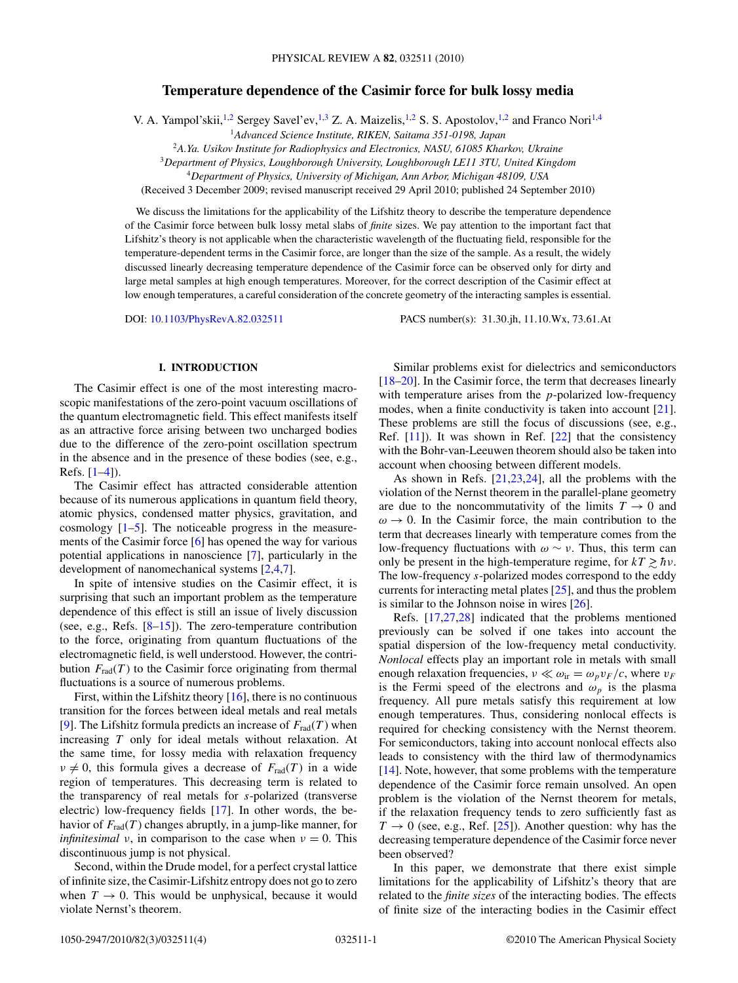# **Temperature dependence of the Casimir force for bulk lossy media**

V. A. Yampol'skii,  $^{1,2}$  Sergey Savel'ev,  $^{1,3}$  Z. A. Maizelis,  $^{1,2}$  S. S. Apostolov,  $^{1,2}$  and Franco Nori $^{1,4}$ 

<sup>1</sup>*Advanced Science Institute, RIKEN, Saitama 351-0198, Japan*

<sup>2</sup>*A.Ya. Usikov Institute for Radiophysics and Electronics, NASU, 61085 Kharkov, Ukraine*

<sup>3</sup>*Department of Physics, Loughborough University, Loughborough LE11 3TU, United Kingdom*

<sup>4</sup>*Department of Physics, University of Michigan, Ann Arbor, Michigan 48109, USA*

(Received 3 December 2009; revised manuscript received 29 April 2010; published 24 September 2010)

We discuss the limitations for the applicability of the Lifshitz theory to describe the temperature dependence of the Casimir force between bulk lossy metal slabs of *finite* sizes. We pay attention to the important fact that Lifshitz's theory is not applicable when the characteristic wavelength of the fluctuating field, responsible for the temperature-dependent terms in the Casimir force, are longer than the size of the sample. As a result, the widely discussed linearly decreasing temperature dependence of the Casimir force can be observed only for dirty and large metal samples at high enough temperatures. Moreover, for the correct description of the Casimir effect at low enough temperatures, a careful consideration of the concrete geometry of the interacting samples is essential.

DOI: [10.1103/PhysRevA.82.032511](http://dx.doi.org/10.1103/PhysRevA.82.032511) PACS number(s): 31*.*30*.*jh, 11*.*10*.*Wx, 73*.*61*.*At

# **I. INTRODUCTION**

The Casimir effect is one of the most interesting macroscopic manifestations of the zero-point vacuum oscillations of the quantum electromagnetic field. This effect manifests itself as an attractive force arising between two uncharged bodies due to the difference of the zero-point oscillation spectrum in the absence and in the presence of these bodies (see, e.g., Refs. [\[1–4\]](#page-3-0)).

The Casimir effect has attracted considerable attention because of its numerous applications in quantum field theory, atomic physics, condensed matter physics, gravitation, and cosmology  $[1-5]$ . The noticeable progress in the measurements of the Casimir force [\[6\]](#page-3-0) has opened the way for various potential applications in nanoscience [\[7\]](#page-3-0), particularly in the development of nanomechanical systems [\[2,4,7\]](#page-3-0).

In spite of intensive studies on the Casimir effect, it is surprising that such an important problem as the temperature dependence of this effect is still an issue of lively discussion (see, e.g., Refs. [\[8–15\]](#page-3-0)). The zero-temperature contribution to the force, originating from quantum fluctuations of the electromagnetic field, is well understood. However, the contribution  $F_{rad}(T)$  to the Casimir force originating from thermal fluctuations is a source of numerous problems.

First, within the Lifshitz theory [\[16\]](#page-3-0), there is no continuous transition for the forces between ideal metals and real metals [\[9\]](#page-3-0). The Lifshitz formula predicts an increase of  $F_{rad}(T)$  when increasing *T* only for ideal metals without relaxation. At the same time, for lossy media with relaxation frequency  $\nu \neq 0$ , this formula gives a decrease of  $F_{rad}(T)$  in a wide region of temperatures. This decreasing term is related to the transparency of real metals for *s*-polarized (transverse electric) low-frequency fields [\[17\]](#page-3-0). In other words, the behavior of  $F_{rad}(T)$  changes abruptly, in a jump-like manner, for *infinitesimal ν*, in comparison to the case when  $\nu = 0$ . This discontinuous jump is not physical.

Second, within the Drude model, for a perfect crystal lattice of infinite size, the Casimir-Lifshitz entropy does not go to zero when  $T \to 0$ . This would be unphysical, because it would violate Nernst's theorem.

Similar problems exist for dielectrics and semiconductors [\[18–20\]](#page-3-0). In the Casimir force, the term that decreases linearly with temperature arises from the *p*-polarized low-frequency modes, when a finite conductivity is taken into account [\[21\]](#page-3-0). These problems are still the focus of discussions (see, e.g., Ref.  $[11]$ ). It was shown in Ref.  $[22]$  that the consistency with the Bohr-van-Leeuwen theorem should also be taken into account when choosing between different models.

As shown in Refs. [\[21,23,24\]](#page-3-0), all the problems with the violation of the Nernst theorem in the parallel-plane geometry are due to the noncommutativity of the limits  $T \to 0$  and  $\omega \rightarrow 0$ . In the Casimir force, the main contribution to the term that decreases linearly with temperature comes from the low-frequency fluctuations with *ω* ∼ *ν*. Thus, this term can only be present in the high-temperature regime, for  $kT \gtrsim \hbar v$ .<br>The low-frequency s-polarized modes correspond to the eddy The low-frequency *s*-polarized modes correspond to the eddy currents for interacting metal plates [\[25\]](#page-3-0), and thus the problem is similar to the Johnson noise in wires [\[26\]](#page-3-0).

Refs. [\[17,27,28\]](#page-3-0) indicated that the problems mentioned previously can be solved if one takes into account the spatial dispersion of the low-frequency metal conductivity. *Nonlocal* effects play an important role in metals with small enough relaxation frequencies,  $v \ll \omega_{ir} = \omega_p v_F/c$ , where  $v_F$ is the Fermi speed of the electrons and  $\omega_p$  is the plasma frequency. All pure metals satisfy this requirement at low enough temperatures. Thus, considering nonlocal effects is required for checking consistency with the Nernst theorem. For semiconductors, taking into account nonlocal effects also leads to consistency with the third law of thermodynamics [\[14\]](#page-3-0). Note, however, that some problems with the temperature dependence of the Casimir force remain unsolved. An open problem is the violation of the Nernst theorem for metals, if the relaxation frequency tends to zero sufficiently fast as  $T \rightarrow 0$  (see, e.g., Ref. [\[25\]](#page-3-0)). Another question: why has the decreasing temperature dependence of the Casimir force never been observed?

In this paper, we demonstrate that there exist simple limitations for the applicability of Lifshitz's theory that are related to the *finite sizes* of the interacting bodies. The effects of finite size of the interacting bodies in the Casimir effect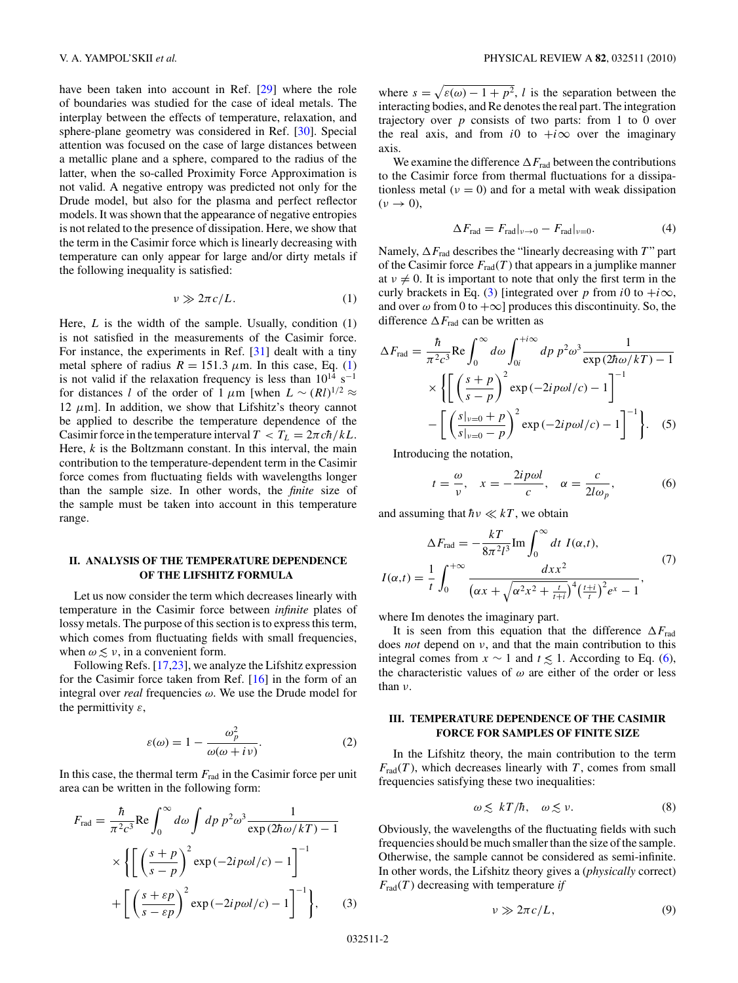<span id="page-1-0"></span>have been taken into account in Ref. [\[29\]](#page-3-0) where the role of boundaries was studied for the case of ideal metals. The interplay between the effects of temperature, relaxation, and sphere-plane geometry was considered in Ref. [\[30\]](#page-3-0). Special attention was focused on the case of large distances between a metallic plane and a sphere, compared to the radius of the latter, when the so-called Proximity Force Approximation is not valid. A negative entropy was predicted not only for the Drude model, but also for the plasma and perfect reflector models. It was shown that the appearance of negative entropies is not related to the presence of dissipation. Here, we show that the term in the Casimir force which is linearly decreasing with temperature can only appear for large and/or dirty metals if the following inequality is satisfied:

$$
\nu \gg 2\pi c/L. \tag{1}
$$

Here, *L* is the width of the sample. Usually, condition (1) is not satisfied in the measurements of the Casimir force. For instance, the experiments in Ref. [\[31\]](#page-3-0) dealt with a tiny metal sphere of radius  $R = 151.3 \mu$ m. In this case, Eq. (1) is not valid if the relaxation frequency is less than  $10^{14}$  s<sup>-1</sup> for distances *l* of the order of 1  $\mu$ m [when  $L \sim (Rl)^{1/2} \approx$ 12  $\mu$ m]. In addition, we show that Lifshitz's theory cannot be applied to describe the temperature dependence of the Casimir force in the temperature interval  $T < T_L = 2\pi c\hbar/kL$ . Here, *k* is the Boltzmann constant. In this interval, the main contribution to the temperature-dependent term in the Casimir force comes from fluctuating fields with wavelengths longer than the sample size. In other words, the *finite* size of the sample must be taken into account in this temperature range.

# **II. ANALYSIS OF THE TEMPERATURE DEPENDENCE OF THE LIFSHITZ FORMULA**

Let us now consider the term which decreases linearly with temperature in the Casimir force between *infinite* plates of lossy metals. The purpose of this section is to express this term, which comes from fluctuating fields with small frequencies, when  $\omega \lesssim \nu$ , in a convenient form.<br>
Following Refs [17.23] we ana

Following Refs. [\[17,23\]](#page-3-0), we analyze the Lifshitz expression for the Casimir force taken from Ref. [\[16\]](#page-3-0) in the form of an integral over *real* frequencies *ω*. We use the Drude model for the permittivity *ε*,

$$
\varepsilon(\omega) = 1 - \frac{\omega_p^2}{\omega(\omega + i\nu)}.
$$
 (2)

In this case, the thermal term *F*rad in the Casimir force per unit area can be written in the following form:

$$
F_{\rm rad} = \frac{\hbar}{\pi^2 c^3} \text{Re} \int_0^\infty d\omega \int dp \ p^2 \omega^3 \frac{1}{\exp(2\hbar\omega/kT) - 1}
$$

$$
\times \left\{ \left[ \left( \frac{s+p}{s-p} \right)^2 \exp(-2ip\omega l/c) - 1 \right]^{-1} + \left[ \left( \frac{s+\varepsilon p}{s-\varepsilon p} \right)^2 \exp(-2ip\omega l/c) - 1 \right]^{-1} \right\}, \qquad (3)
$$

where  $s = \sqrt{\varepsilon(\omega) - 1 + p^2}$ , *l* is the separation between the interacting bodies, and Re denotes the real part. The integration trajectory over *p* consists of two parts: from 1 to 0 over the real axis, and from *i*0 to  $+i\infty$  over the imaginary axis.

We examine the difference  $\Delta F_{\text{rad}}$  between the contributions to the Casimir force from thermal fluctuations for a dissipationless metal  $(v = 0)$  and for a metal with weak dissipation  $(\nu \rightarrow 0),$ 

$$
\Delta F_{\text{rad}} = F_{\text{rad}}|_{v \to 0} - F_{\text{rad}}|_{v = 0}.\tag{4}
$$

Namely,  $\Delta F_{\text{rad}}$  describes the "linearly decreasing with *T*" part of the Casimir force  $F_{rad}(T)$  that appears in a jumplike manner at  $\nu \neq 0$ . It is important to note that only the first term in the curly brackets in Eq. (3) [integrated over *p* from *i*0 to  $+i\infty$ , and over  $\omega$  from 0 to  $+\infty$ ] produces this discontinuity. So, the difference  $\Delta F_{\text{rad}}$  can be written as

$$
\Delta F_{\text{rad}} = \frac{\hbar}{\pi^2 c^3} \text{Re} \int_0^\infty d\omega \int_{0i}^{+\infty} dp \ p^2 \omega^3 \frac{1}{\exp(2\hbar\omega/kT) - 1}
$$

$$
\times \left\{ \left[ \left( \frac{s+p}{s-p} \right)^2 \exp(-2ip\omega l/c) - 1 \right]^{-1} - \left[ \left( \frac{s|_{v=0} + p}{s|_{v=0} - p} \right)^2 \exp(-2ip\omega l/c) - 1 \right]^{-1} \right\}. \quad (5)
$$

Introducing the notation,

$$
t = \frac{\omega}{v}, \quad x = -\frac{2ip\omega l}{c}, \quad \alpha = \frac{c}{2l\omega_p},\tag{6}
$$

and assuming that  $\hbar v \ll kT$ , we obtain

$$
\Delta F_{\text{rad}} = -\frac{kT}{8\pi^2 l^3} \text{Im} \int_0^\infty dt \ I(\alpha, t),
$$
  

$$
I(\alpha, t) = \frac{1}{t} \int_0^{+\infty} \frac{dx x^2}{(\alpha x + \sqrt{\alpha^2 x^2 + \frac{t}{t+i}})^4 (\frac{t+i}{t})^2 e^x - 1},
$$
(7)

where Im denotes the imaginary part.

It is seen from this equation that the difference  $\Delta F_{\text{rad}}$ does *not* depend on *ν*, and that the main contribution to this integral comes from  $x \sim 1$  and  $t \le 1$ . According to Eq. (6), the characteristic values of  $\omega$  are either of the order or less the characteristic values of *ω* are either of the order or less than *ν*.

# **III. TEMPERATURE DEPENDENCE OF THE CASIMIR FORCE FOR SAMPLES OF FINITE SIZE**

In the Lifshitz theory, the main contribution to the term  $F_{rad}(T)$ , which decreases linearly with *T*, comes from small frequencies satisfying these two inequalities:

$$
\omega \lesssim kT/\hbar, \quad \omega \lesssim \nu. \tag{8}
$$

Obviously, the wavelengths of the fluctuating fields with such frequencies should be much smaller than the size of the sample. Otherwise, the sample cannot be considered as semi-infinite. In other words, the Lifshitz theory gives a (*physically* correct)  $F_{rad}(T)$  decreasing with temperature *if* 

$$
\nu \gg 2\pi c/L, \tag{9}
$$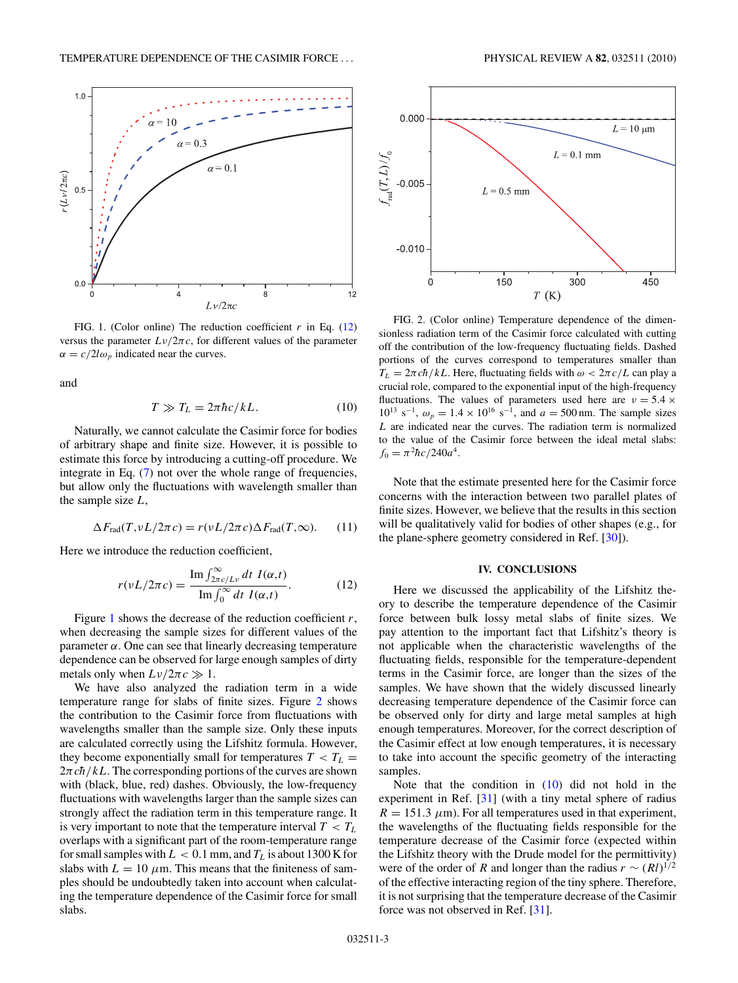

FIG. 1. (Color online) The reduction coefficient *r* in Eq. (12) versus the parameter  $L\nu/2\pi c$ , for different values of the parameter  $\alpha = c/2l\omega_p$  indicated near the curves.

and

$$
T \gg T_L = 2\pi \hbar c / kL. \tag{10}
$$

Naturally, we cannot calculate the Casimir force for bodies of arbitrary shape and finite size. However, it is possible to estimate this force by introducing a cutting-off procedure. We integrate in Eq. [\(7\)](#page-1-0) not over the whole range of frequencies, but allow only the fluctuations with wavelength smaller than the sample size *L*,

$$
\Delta F_{\text{rad}}(T, vL/2\pi c) = r(vL/2\pi c)\Delta F_{\text{rad}}(T, \infty).
$$
 (11)

Here we introduce the reduction coefficient,

$$
r(\nu L/2\pi c) = \frac{\operatorname{Im} \int_{2\pi c/L\nu}^{\infty} dt \ I(\alpha, t)}{\operatorname{Im} \int_{0}^{\infty} dt \ I(\alpha, t)}.
$$
 (12)

Figure 1 shows the decrease of the reduction coefficient *r*, when decreasing the sample sizes for different values of the parameter  $\alpha$ . One can see that linearly decreasing temperature dependence can be observed for large enough samples of dirty metals only when  $L\nu/2\pi c \gg 1$ .

We have also analyzed the radiation term in a wide temperature range for slabs of finite sizes. Figure 2 shows the contribution to the Casimir force from fluctuations with wavelengths smaller than the sample size. Only these inputs are calculated correctly using the Lifshitz formula. However, they become exponentially small for temperatures  $T < T_L$  $2\pi c\hbar/kL$ . The corresponding portions of the curves are shown with (black, blue, red) dashes. Obviously, the low-frequency fluctuations with wavelengths larger than the sample sizes can strongly affect the radiation term in this temperature range. It is very important to note that the temperature interval  $T < T_L$ overlaps with a significant part of the room-temperature range for small samples with  $L < 0.1$  mm, and  $T_L$  is about 1300 K for slabs with  $L = 10 \mu$ m. This means that the finiteness of samples should be undoubtedly taken into account when calculating the temperature dependence of the Casimir force for small slabs.



FIG. 2. (Color online) Temperature dependence of the dimensionless radiation term of the Casimir force calculated with cutting off the contribution of the low-frequency fluctuating fields. Dashed portions of the curves correspond to temperatures smaller than  $T_L = 2\pi c \hbar / kL$ . Here, fluctuating fields with  $\omega < 2\pi c/L$  can play a crucial role, compared to the exponential input of the high-frequency fluctuations. The values of parameters used here are  $v = 5.4 \times$  $10^{13}$  s<sup>-1</sup>,  $\omega_p = 1.4 \times 10^{16}$  s<sup>-1</sup>, and  $a = 500$  nm. The sample sizes *L* are indicated near the curves. The radiation term is normalized to the value of the Casimir force between the ideal metal slabs:  $f_0 = \pi^2 \hbar c / 240 a^4.$ 

Note that the estimate presented here for the Casimir force concerns with the interaction between two parallel plates of finite sizes. However, we believe that the results in this section will be qualitatively valid for bodies of other shapes (e.g., for the plane-sphere geometry considered in Ref. [\[30\]](#page-3-0)).

#### **IV. CONCLUSIONS**

Here we discussed the applicability of the Lifshitz theory to describe the temperature dependence of the Casimir force between bulk lossy metal slabs of finite sizes. We pay attention to the important fact that Lifshitz's theory is not applicable when the characteristic wavelengths of the fluctuating fields, responsible for the temperature-dependent terms in the Casimir force, are longer than the sizes of the samples. We have shown that the widely discussed linearly decreasing temperature dependence of the Casimir force can be observed only for dirty and large metal samples at high enough temperatures. Moreover, for the correct description of the Casimir effect at low enough temperatures, it is necessary to take into account the specific geometry of the interacting samples.

Note that the condition in  $(10)$  did not hold in the experiment in Ref. [\[31\]](#page-3-0) (with a tiny metal sphere of radius  $R = 151.3 \ \mu \text{m}$ ). For all temperatures used in that experiment, the wavelengths of the fluctuating fields responsible for the temperature decrease of the Casimir force (expected within the Lifshitz theory with the Drude model for the permittivity) were of the order of *R* and longer than the radius  $r \sim (Rl)^{1/2}$ of the effective interacting region of the tiny sphere. Therefore, it is not surprising that the temperature decrease of the Casimir force was not observed in Ref. [\[31\]](#page-3-0).